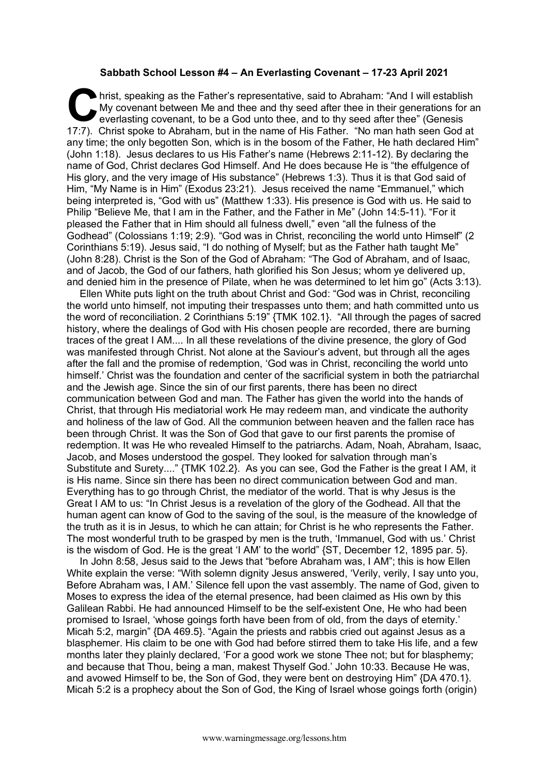## **Sabbath School Lesson #4 – An Everlasting Covenant – 17-23 April 2021**

hrist, speaking as the Father's representative, said to Abraham: "And I will establish My covenant between Me and thee and thy seed after thee in their generations for an everlasting covenant, to be a God unto thee, and to thy seed after thee" (Genesis hrist, speaking as the Father's representative, said to Abraham: "And I will establish My covenant between Me and thee and thy seed after thee in their generations for a everlasting covenant, to be a God unto thee, and to any time; the only begotten Son, which is in the bosom of the Father, He hath declared Him" (John 1:18). Jesus declares to us His Father's name (Hebrews 2:11-12). By declaring the name of God, Christ declares God Himself. And He does because He is "the effulgence of His glory, and the very image of His substance" (Hebrews 1:3). Thus it is that God said of Him, "My Name is in Him" (Exodus 23:21). Jesus received the name "Emmanuel," which being interpreted is, "God with us" (Matthew 1:33). His presence is God with us. He said to Philip "Believe Me, that I am in the Father, and the Father in Me" (John 14:5-11). "For it pleased the Father that in Him should all fulness dwell," even "all the fulness of the Godhead" (Colossians 1:19; 2:9). "God was in Christ, reconciling the world unto Himself" (2 Corinthians 5:19). Jesus said, "I do nothing of Myself; but as the Father hath taught Me" (John 8:28). Christ is the Son of the God of Abraham: "The God of Abraham, and of Isaac, and of Jacob, the God of our fathers, hath glorified his Son Jesus; whom ye delivered up, and denied him in the presence of Pilate, when he was determined to let him go" (Acts 3:13).

Ellen White puts light on the truth about Christ and God: "God was in Christ, reconciling the world unto himself, not imputing their trespasses unto them; and hath committed unto us the word of reconciliation. 2 Corinthians 5:19" {TMK 102.1}. "All through the pages of sacred history, where the dealings of God with His chosen people are recorded, there are burning traces of the great I AM.... In all these revelations of the divine presence, the glory of God was manifested through Christ. Not alone at the Saviour's advent, but through all the ages after the fall and the promise of redemption, 'God was in Christ, reconciling the world unto himself.' Christ was the foundation and center of the sacrificial system in both the patriarchal and the Jewish age. Since the sin of our first parents, there has been no direct communication between God and man. The Father has given the world into the hands of Christ, that through His mediatorial work He may redeem man, and vindicate the authority and holiness of the law of God. All the communion between heaven and the fallen race has been through Christ. It was the Son of God that gave to our first parents the promise of redemption. It was He who revealed Himself to the patriarchs. Adam, Noah, Abraham, Isaac, Jacob, and Moses understood the gospel. They looked for salvation through man's Substitute and Surety...." {TMK 102.2}. As you can see, God the Father is the great I AM, it is His name. Since sin there has been no direct communication between God and man. Everything has to go through Christ, the mediator of the world. That is why Jesus is the Great I AM to us: "In Christ Jesus is a revelation of the glory of the Godhead. All that the human agent can know of God to the saving of the soul, is the measure of the knowledge of the truth as it is in Jesus, to which he can attain; for Christ is he who represents the Father. The most wonderful truth to be grasped by men is the truth, 'Immanuel, God with us.' Christ is the wisdom of God. He is the great 'I AM' to the world" {ST, December 12, 1895 par. 5}.

In John 8:58, Jesus said to the Jews that "before Abraham was, I AM"; this is how Ellen White explain the verse: "With solemn dignity Jesus answered, 'Verily, verily, I say unto you, Before Abraham was, I AM.' Silence fell upon the vast assembly. The name of God, given to Moses to express the idea of the eternal presence, had been claimed as His own by this Galilean Rabbi. He had announced Himself to be the self-existent One, He who had been promised to Israel, 'whose goings forth have been from of old, from the days of eternity.' Micah 5:2, margin" {DA 469.5}. "Again the priests and rabbis cried out against Jesus as a blasphemer. His claim to be one with God had before stirred them to take His life, and a few months later they plainly declared, 'For a good work we stone Thee not; but for blasphemy; and because that Thou, being a man, makest Thyself God.' John 10:33. Because He was, and avowed Himself to be, the Son of God, they were bent on destroying Him" {DA 470.1}. Micah 5:2 is a prophecy about the Son of God, the King of Israel whose goings forth (origin)